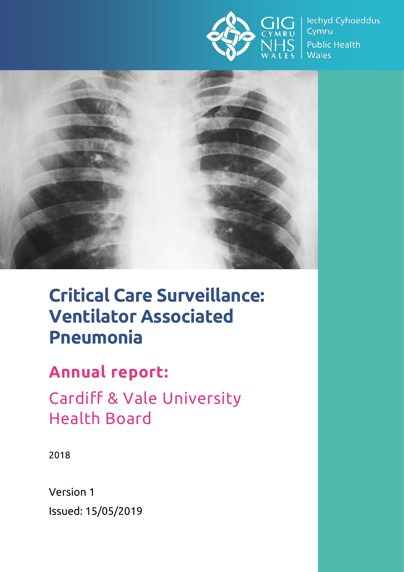

lechyd Cyhoeddus Cymru **Public Health Wales** 



# **Critical Care Surveillance: Ventilator Associated Pneumonia**

## **Annual report:**

Cardiff & Vale University Health Board

2018

Version 1 Issued: 15/05/2019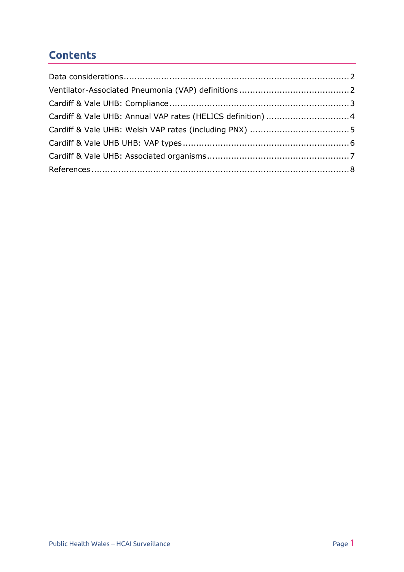### **Contents**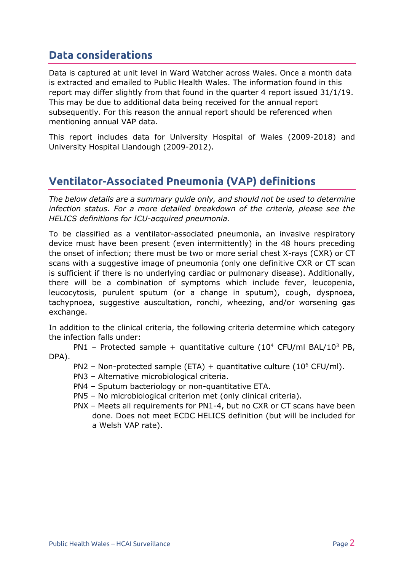### <span id="page-2-0"></span>**Data considerations**

Data is captured at unit level in Ward Watcher across Wales. Once a month data is extracted and emailed to Public Health Wales. The information found in this report may differ slightly from that found in the quarter 4 report issued 31/1/19. This may be due to additional data being received for the annual report subsequently. For this reason the annual report should be referenced when mentioning annual VAP data.

This report includes data for University Hospital of Wales (2009-2018) and University Hospital Llandough (2009-2012).

### <span id="page-2-1"></span>**Ventilator-Associated Pneumonia (VAP) definitions**

*The below details are a summary guide only, and should not be used to determine infection status. For a more detailed breakdown of the criteria, please see the HELICS definitions for ICU-acquired pneumonia.*

To be classified as a ventilator-associated pneumonia, an invasive respiratory device must have been present (even intermittently) in the 48 hours preceding the onset of infection; there must be two or more serial chest X-rays (CXR) or CT scans with a suggestive image of pneumonia (only one definitive CXR or CT scan is sufficient if there is no underlying cardiac or pulmonary disease). Additionally, there will be a combination of symptoms which include fever, leucopenia, leucocytosis, purulent sputum (or a change in sputum), cough, dyspnoea, tachypnoea, suggestive auscultation, ronchi, wheezing, and/or worsening gas exchange.

In addition to the clinical criteria, the following criteria determine which category the infection falls under:

PN1 – Protected sample + quantitative culture  $(10^4 \text{ CFU/ml BAL}/10^3 \text{ PB}$ , DPA).

- PN2 Non-protected sample (ETA) + quantitative culture (10 $^6$  CFU/ml).
- PN3 Alternative microbiological criteria.
- PN4 Sputum bacteriology or non-quantitative ETA.
- PN5 No microbiological criterion met (only clinical criteria).
- PNX Meets all requirements for PN1-4, but no CXR or CT scans have been done. Does not meet ECDC HELICS definition (but will be included for a Welsh VAP rate).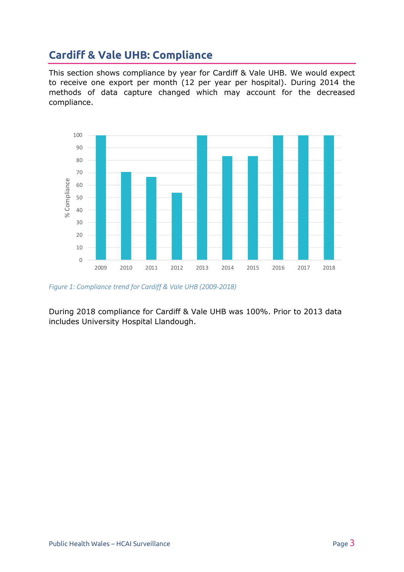### <span id="page-3-0"></span>**Cardiff & Vale UHB: Compliance**

This section shows compliance by year for Cardiff & Vale UHB. We would expect to receive one export per month (12 per year per hospital). During 2014 the methods of data capture changed which may account for the decreased compliance.



*Figure 1: Compliance trend for Cardiff & Vale UHB (2009-2018)*

During 2018 compliance for Cardiff & Vale UHB was 100%. Prior to 2013 data includes University Hospital Llandough.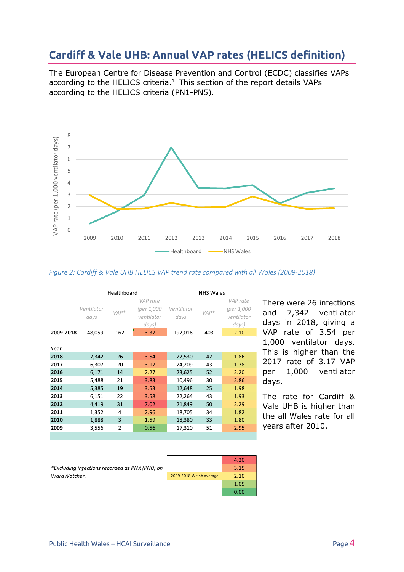### <span id="page-4-0"></span>**Cardiff & Vale UHB: Annual VAP rates (HELICS definition)**

The European Centre for Disease Prevention and Control (ECDC) classifies VAPs according to the HELICS criteria. $1$  This section of the report details VAPs according to the HELICS criteria (PN1-PN5).



#### *Figure 2: Cardiff & Vale UHB HELICS VAP trend rate compared with all Wales (2009-2018)*

|           | Healthboard |                |            | <b>NHS Wales</b> |        |            |
|-----------|-------------|----------------|------------|------------------|--------|------------|
|           |             |                | VAP rate   |                  |        | VAP rate   |
|           | Ventilator  | $VAP*$         | (per 1,000 | Ventilator       | $VAP*$ | (per 1,000 |
|           | days        |                | ventilator | days             |        | ventilator |
|           |             |                | days)      |                  |        | days)      |
| 2009-2018 | 48,059      | 162            | 3.37       | 192,016          | 403    | 2.10       |
|           |             |                |            |                  |        |            |
| Year      |             |                |            |                  |        |            |
| 2018      | 7,342       | 26             | 3.54       | 22,530           | 42     | 1.86       |
| 2017      | 6,307       | 20             | 3.17       | 24,209           | 43     | 1.78       |
| 2016      | 6,171       | 14             | 2.27       | 23,625           | 52     | 2.20       |
| 2015      | 5,488       | 21             | 3.83       | 10,496           | 30     | 2.86       |
| 2014      | 5,385       | 19             | 3.53       | 12,648           | 25     | 1.98       |
| 2013      | 6,151       | 22             | 3.58       | 22,264           | 43     | 1.93       |
| 2012      | 4,419       | 31             | 7.02       | 21,849           | 50     | 2.29       |
| 2011      | 1,352       | 4              | 2.96       | 18,705           | 34     | 1.82       |
| 2010      | 1,888       | 3              | 1.59       | 18,380           | 33     | 1.80       |
| 2009      | 3,556       | $\overline{2}$ | 0.56       | 17,310           | 51     | 2.95       |
|           |             |                |            |                  |        |            |
|           |             |                |            |                  |        |            |

There were 26 infections and 7,342 ventilator days in 2018, giving a VAP rate of 3.54 per 1,000 ventilator days. This is higher than the 2017 rate of 3.17 VAP per 1,000 ventilator days.

The rate for Cardiff & Vale UHB is higher than the all Wales rate for all years after 2010.

*\*Excluding infections recorded as PNX (PN0) on WardWatcher.*

 $\mathcal{L}_{\mathcal{A}}$ 

 $\sim$ 

|                         | 4.20 |
|-------------------------|------|
|                         | 3.15 |
| 2009-2018 Welsh average | 2.10 |
|                         | 1.05 |
|                         | 0.00 |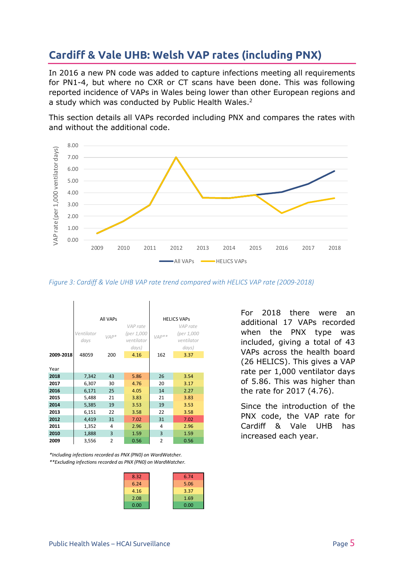### <span id="page-5-0"></span>**Cardiff & Vale UHB: Welsh VAP rates (including PNX)**

In 2016 a new PN code was added to capture infections meeting all requirements for PN1-4, but where no CXR or CT scans have been done. This was following reported incidence of VAPs in Wales being lower than other European regions and a study which was conducted by Public Health Wales.<sup>2</sup>

This section details all VAPs recorded including PNX and compares the rates with and without the additional code.



*Figure 3: Cardiff & Vale UHB VAP rate trend compared with HELICS VAP rate (2009-2018)*

|           | All VAPs                     |                |                                               | <b>HELICS VAPS</b> |                                               |  |
|-----------|------------------------------|----------------|-----------------------------------------------|--------------------|-----------------------------------------------|--|
|           | Ventilator<br>$VAP*$<br>days |                | VAP rate<br>(per 1,000<br>ventilator<br>days) | $VAP**$            | VAP rate<br>(per 1,000<br>ventilator<br>days) |  |
| 2009-2018 | 48059                        | 200            | 4.16                                          | 162                | 3.37                                          |  |
| Year      |                              |                |                                               |                    |                                               |  |
| 2018      | 7,342                        | 43             | 5.86                                          | 26                 | 3.54                                          |  |
| 2017      | 6,307                        | 30             | 4.76                                          | 20                 | 3.17                                          |  |
| 2016      | 6,171                        | 25             | 4.05                                          | 14                 | 2.27                                          |  |
| 2015      | 5,488                        | 21             | 3.83                                          | 21                 | 3.83                                          |  |
| 2014      | 5,385                        | 19             | 3.53                                          | 19                 | 3.53                                          |  |
| 2013      | 6,151                        | 22             | 3.58                                          | 22                 | 3.58                                          |  |
| 2012      | 4,419                        | 31             | 7.02                                          | 31                 | 7.02                                          |  |
| 2011      | 1,352                        | 4              | 2.96                                          | 4                  | 2.96                                          |  |
| 2010      | 1,888                        | 3              | 1.59                                          | 3                  | 1.59                                          |  |
| 2009      | 3,556                        | $\overline{2}$ | 0.56                                          | $\overline{2}$     | 0.56                                          |  |

*\*\*Excluding infections recorded as PNX (PN0) on WardWatcher. \*Including infections recorded as PNX (PN0) on WardWatcher.*

| 8.32 | 6.74 |
|------|------|
| 6.24 | 5.06 |
| 4.16 | 3.37 |
| 2.08 | 1.69 |
| 0.00 | 0.00 |
|      |      |

For 2018 there were an additional 17 VAPs recorded when the PNX type was included, giving a total of 43 VAPs across the health board (26 HELICS). This gives a VAP rate per 1,000 ventilator days of 5.86. This was higher than the rate for 2017 (4.76).

Since the introduction of the PNX code, the VAP rate for Cardiff & Vale UHB has increased each year.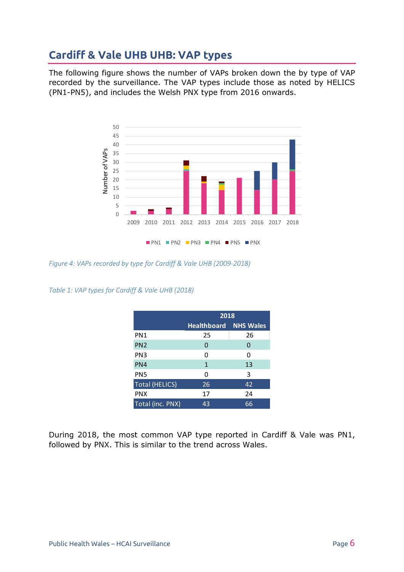### <span id="page-6-0"></span>**Cardiff & Vale UHB UHB: VAP types**

The following figure shows the number of VAPs broken down the by type of VAP recorded by the surveillance. The VAP types include those as noted by HELICS (PN1-PN5), and includes the Welsh PNX type from 2016 onwards.



*Figure 4: VAPs recorded by type for Cardiff & Vale UHB (2009-2018)*

*Table 1: VAP types for Cardiff & Vale UHB (2018)*

|                       | 2018               |                  |  |
|-----------------------|--------------------|------------------|--|
|                       | <b>Healthboard</b> | <b>NHS Wales</b> |  |
| PN <sub>1</sub>       | 25                 | 26               |  |
| PN <sub>2</sub>       | 0                  | 0                |  |
| PN <sub>3</sub>       | 0                  | 0                |  |
| PN4                   | 1                  | 13               |  |
| PN <sub>5</sub>       | 0                  | 3                |  |
| <b>Total (HELICS)</b> | 26                 | 42               |  |
| <b>PNX</b>            | 17                 | 24               |  |
| Total (inc. PNX)      | 43                 | 66               |  |

During 2018, the most common VAP type reported in Cardiff & Vale was PN1, followed by PNX. This is similar to the trend across Wales.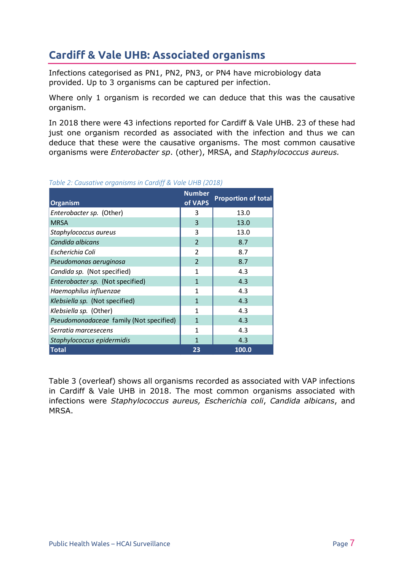### <span id="page-7-0"></span>**Cardiff & Vale UHB: Associated organisms**

Infections categorised as PN1, PN2, PN3, or PN4 have microbiology data provided. Up to 3 organisms can be captured per infection.

Where only 1 organism is recorded we can deduce that this was the causative organism.

In 2018 there were 43 infections reported for Cardiff & Vale UHB. 23 of these had just one organism recorded as associated with the infection and thus we can deduce that these were the causative organisms. The most common causative organisms were *Enterobacter sp*. (other), MRSA, and *Staphylococcus aureus.*

| <b>Organism</b>                         | <b>Number</b><br>of VAPS | <b>Proportion of total</b> |
|-----------------------------------------|--------------------------|----------------------------|
| Enterobacter sp. (Other)                | 3                        | 13.0                       |
| <b>MRSA</b>                             | 3                        | 13.0                       |
| Staphylococcus aureus                   | 3                        | 13.0                       |
| Candida albicans                        | $\overline{2}$           | 8.7                        |
| Escherichia Coli                        | $\overline{2}$           | 8.7                        |
| Pseudomonas aeruginosa                  | $\overline{2}$           | 8.7                        |
| Candida sp. (Not specified)             | 1                        | 4.3                        |
| Enterobacter sp. (Not specified)        | $\mathbf{1}$             | 4.3                        |
| Haemophilus influenzae                  | $\mathbf{1}$             | 4.3                        |
| Klebsiella sp. (Not specified)          | $\mathbf{1}$             | 4.3                        |
| Klebsiella sp. (Other)                  | 1                        | 4.3                        |
| Pseudomonadaceae family (Not specified) | $\mathbf{1}$             | 4.3                        |
| Serratia marcesecens                    | 1                        | 4.3                        |
| Staphylococcus epidermidis              | 1                        | 4.3                        |
| <b>Total</b>                            | 23                       | 100.0                      |

#### *Table 2: Causative organisms in Cardiff & Vale UHB (2018)*

Table 3 (overleaf) shows all organisms recorded as associated with VAP infections in Cardiff & Vale UHB in 2018. The most common organisms associated with infections were *Staphylococcus aureus, Escherichia coli*, *Candida albicans*, and MRSA.